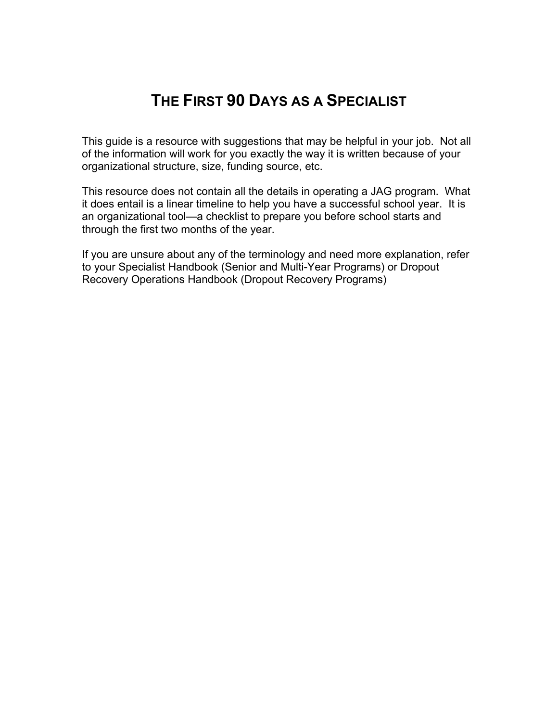# **THE FIRST 90 DAYS AS A SPECIALIST**

This guide is a resource with suggestions that may be helpful in your job. Not all of the information will work for you exactly the way it is written because of your organizational structure, size, funding source, etc.

This resource does not contain all the details in operating a JAG program. What it does entail is a linear timeline to help you have a successful school year. It is an organizational tool—a checklist to prepare you before school starts and through the first two months of the year.

If you are unsure about any of the terminology and need more explanation, refer to your Specialist Handbook (Senior and Multi-Year Programs) or Dropout Recovery Operations Handbook (Dropout Recovery Programs)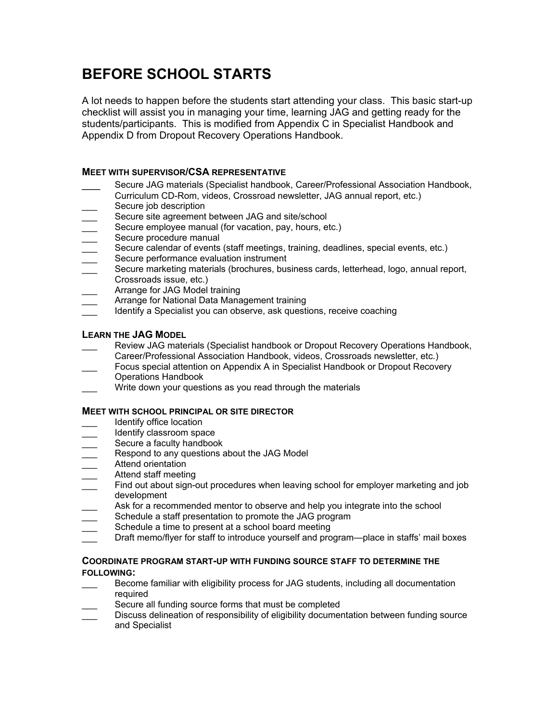# **BEFORE SCHOOL STARTS**

A lot needs to happen before the students start attending your class. This basic start-up checklist will assist you in managing your time, learning JAG and getting ready for the students/participants. This is modified from Appendix C in Specialist Handbook and Appendix D from Dropout Recovery Operations Handbook.

## **MEET WITH SUPERVISOR/CSA REPRESENTATIVE**

- Secure JAG materials (Specialist handbook, Career/Professional Association Handbook, Curriculum CD-Rom, videos, Crossroad newsletter, JAG annual report, etc.)
- Secure job description
- Secure site agreement between JAG and site/school
- Secure employee manual (for vacation, pay, hours, etc.)
- Secure procedure manual
- Secure calendar of events (staff meetings, training, deadlines, special events, etc.)
- Secure performance evaluation instrument
- Secure marketing materials (brochures, business cards, letterhead, logo, annual report, Crossroads issue, etc.)
- Arrange for JAG Model training
- Arrange for National Data Management training
- Identify a Specialist you can observe, ask questions, receive coaching

## **LEARN THE JAG MODEL**

- Review JAG materials (Specialist handbook or Dropout Recovery Operations Handbook, Career/Professional Association Handbook, videos, Crossroads newsletter, etc.)
- \_\_\_ Focus special attention on Appendix A in Specialist Handbook or Dropout Recovery Operations Handbook
- Write down your questions as you read through the materials

### **MEET WITH SCHOOL PRINCIPAL OR SITE DIRECTOR**

- Identify office location
- Identify classroom space
- Secure a faculty handbook
- Respond to any questions about the JAG Model
- Attend orientation
- \_\_\_ Attend staff meeting
- Find out about sign-out procedures when leaving school for employer marketing and job development
- Ask for a recommended mentor to observe and help you integrate into the school
- Schedule a staff presentation to promote the JAG program
- Schedule a time to present at a school board meeting
- Draft memo/flyer for staff to introduce yourself and program—place in staffs' mail boxes

### **COORDINATE PROGRAM START-UP WITH FUNDING SOURCE STAFF TO DETERMINE THE FOLLOWING:**

- Become familiar with eligibility process for JAG students, including all documentation required
- Secure all funding source forms that must be completed
- Discuss delineation of responsibility of eligibility documentation between funding source and Specialist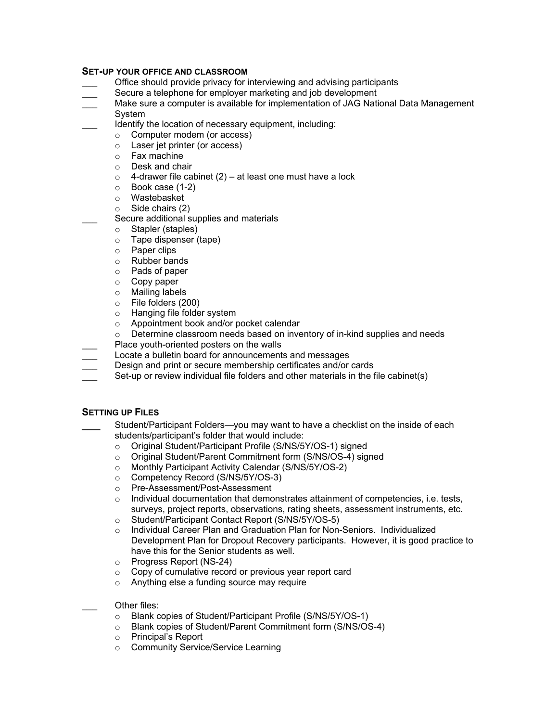### **SET-UP YOUR OFFICE AND CLASSROOM**

- Office should provide privacy for interviewing and advising participants
- Secure a telephone for employer marketing and job development
- \_\_\_ Make sure a computer is available for implementation of JAG National Data Management System
	- Identify the location of necessary equipment, including:
		- o Computer modem (or access)
		- o Laser jet printer (or access)
		- o Fax machine
		- o Desk and chair<br>o 4-drawer file ca
		- o 4-drawer file cabinet (2) at least one must have a lock o Book case (1-2)
		- Book case (1-2)
		- o Wastebasket
		- o Side chairs (2)
		- Secure additional supplies and materials
		- o Stapler (staples)
		- $\circ$  Tape dispenser (tape)<br> $\circ$  Paper clips
		- Paper clips
		- o Rubber bands
		- o Pads of paper
		- o Copy paper<br>o Mailing labe
		- o Mailing labels<br>○ File folders (2)
		- File folders (200)
		- o Hanging file folder system
		- o Appointment book and/or pocket calendar
		- $\circ$  Determine classroom needs based on inventory of in-kind supplies and needs
- Place youth-oriented posters on the walls
- Locate a bulletin board for announcements and messages
- Design and print or secure membership certificates and/or cards
- Set-up or review individual file folders and other materials in the file cabinet(s)

### **SETTING UP FILES**

- Student/Participant Folders—you may want to have a checklist on the inside of each students/participant's folder that would include:
	- o Original Student/Participant Profile (S/NS/5Y/OS-1) signed
	- o Original Student/Parent Commitment form (S/NS/OS-4) signed
	- o Monthly Participant Activity Calendar (S/NS/5Y/OS-2)
	- o Competency Record (S/NS/5Y/OS-3)
	- o Pre-Assessment/Post-Assessment
	- $\circ$  Individual documentation that demonstrates attainment of competencies, i.e. tests, surveys, project reports, observations, rating sheets, assessment instruments, etc.
	- o Student/Participant Contact Report (S/NS/5Y/OS-5)
	- o Individual Career Plan and Graduation Plan for Non-Seniors. Individualized Development Plan for Dropout Recovery participants. However, it is good practice to have this for the Senior students as well.
	- o Progress Report (NS-24)
	- o Copy of cumulative record or previous year report card
	- o Anything else a funding source may require

### Other files:

- o Blank copies of Student/Participant Profile (S/NS/5Y/OS-1)
- o Blank copies of Student/Parent Commitment form (S/NS/OS-4)
- o Principal's Report
- o Community Service/Service Learning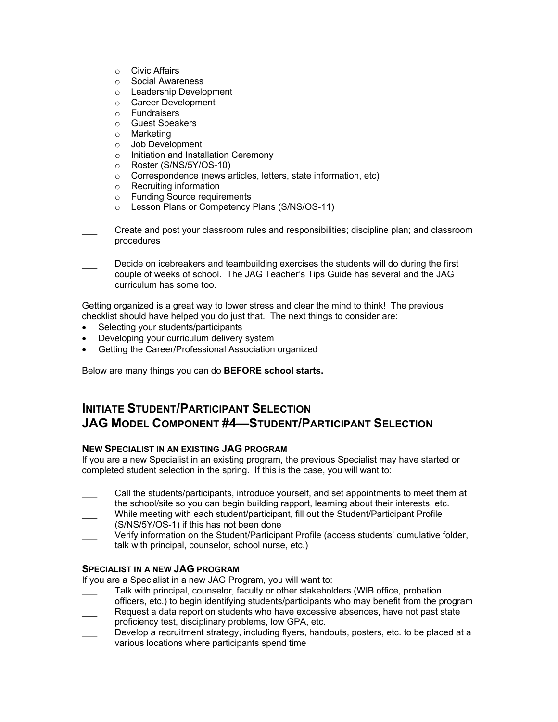- o Civic Affairs
- o Social Awareness
- o Leadership Development
- o Career Development
- o Fundraisers
- o Guest Speakers
- o Marketing
- o Job Development
- o Initiation and Installation Ceremony
- o Roster (S/NS/5Y/OS-10)
- Correspondence (news articles, letters, state information, etc)<br>○ Recruiting information
- Recruiting information<br>○ Funding Source require
- **Funding Source requirements**
- o Lesson Plans or Competency Plans (S/NS/OS-11)

\_\_\_ Create and post your classroom rules and responsibilities; discipline plan; and classroom procedures

Decide on icebreakers and teambuilding exercises the students will do during the first couple of weeks of school. The JAG Teacher's Tips Guide has several and the JAG curriculum has some too.

Getting organized is a great way to lower stress and clear the mind to think! The previous checklist should have helped you do just that. The next things to consider are:

- Selecting your students/participants
- Developing your curriculum delivery system
- Getting the Career/Professional Association organized

Below are many things you can do **BEFORE school starts.** 

# **INITIATE STUDENT/PARTICIPANT SELECTION JAG MODEL COMPONENT #4—STUDENT/PARTICIPANT SELECTION**

### **NEW SPECIALIST IN AN EXISTING JAG PROGRAM**

If you are a new Specialist in an existing program, the previous Specialist may have started or completed student selection in the spring. If this is the case, you will want to:

- \_\_\_ Call the students/participants, introduce yourself, and set appointments to meet them at
- the school/site so you can begin building rapport, learning about their interests, etc. \_\_\_ While meeting with each student/participant, fill out the Student/Participant Profile
- (S/NS/5Y/OS-1) if this has not been done
- Verify information on the Student/Participant Profile (access students' cumulative folder, talk with principal, counselor, school nurse, etc.)

### **SPECIALIST IN A NEW JAG PROGRAM**

If you are a Specialist in a new JAG Program, you will want to:

- Talk with principal, counselor, faculty or other stakeholders (WIB office, probation
- officers, etc.) to begin identifying students/participants who may benefit from the program Request a data report on students who have excessive absences, have not past state proficiency test, disciplinary problems, low GPA, etc.
- Develop a recruitment strategy, including flyers, handouts, posters, etc. to be placed at a various locations where participants spend time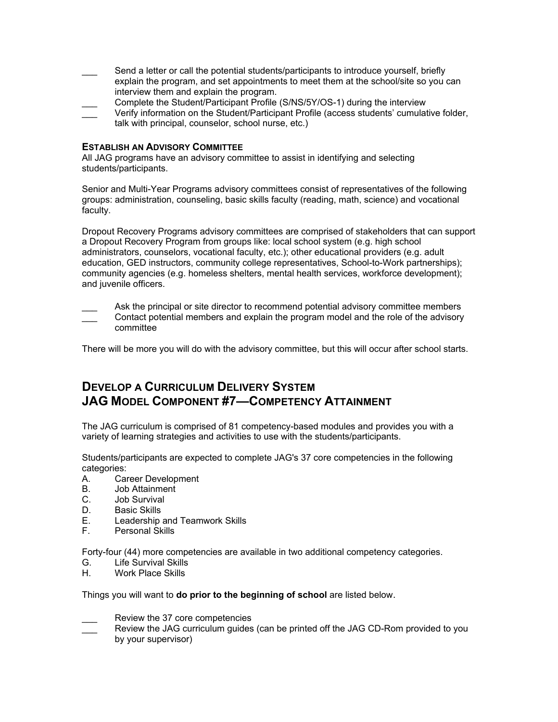- Send a letter or call the potential students/participants to introduce yourself, briefly explain the program, and set appointments to meet them at the school/site so you can interview them and explain the program.
- Complete the Student/Participant Profile (S/NS/5Y/OS-1) during the interview Verify information on the Student/Participant Profile (access students' cumulative folder,
- talk with principal, counselor, school nurse, etc.)

### **ESTABLISH AN ADVISORY COMMITTEE**

All JAG programs have an advisory committee to assist in identifying and selecting students/participants.

Senior and Multi-Year Programs advisory committees consist of representatives of the following groups: administration, counseling, basic skills faculty (reading, math, science) and vocational faculty.

Dropout Recovery Programs advisory committees are comprised of stakeholders that can support a Dropout Recovery Program from groups like: local school system (e.g. high school administrators, counselors, vocational faculty, etc.); other educational providers (e.g. adult education, GED instructors, community college representatives, School-to-Work partnerships); community agencies (e.g. homeless shelters, mental health services, workforce development); and juvenile officers.

Ask the principal or site director to recommend potential advisory committee members \_\_\_ Contact potential members and explain the program model and the role of the advisory committee

There will be more you will do with the advisory committee, but this will occur after school starts.

# **DEVELOP A CURRICULUM DELIVERY SYSTEM JAG MODEL COMPONENT #7—COMPETENCY ATTAINMENT**

The JAG curriculum is comprised of 81 competency-based modules and provides you with a variety of learning strategies and activities to use with the students/participants.

Students/participants are expected to complete JAG's 37 core competencies in the following categories:

- A. Career Development
- B. Job Attainment
- C. Job Survival
- D. Basic Skills
- E. Leadership and Teamwork Skills
- F. Personal Skills

Forty-four (44) more competencies are available in two additional competency categories.

- G. Life Survival Skills
- H. Work Place Skills

Things you will want to **do prior to the beginning of school** are listed below.

- Review the 37 core competencies
- Review the JAG curriculum guides (can be printed off the JAG CD-Rom provided to you by your supervisor)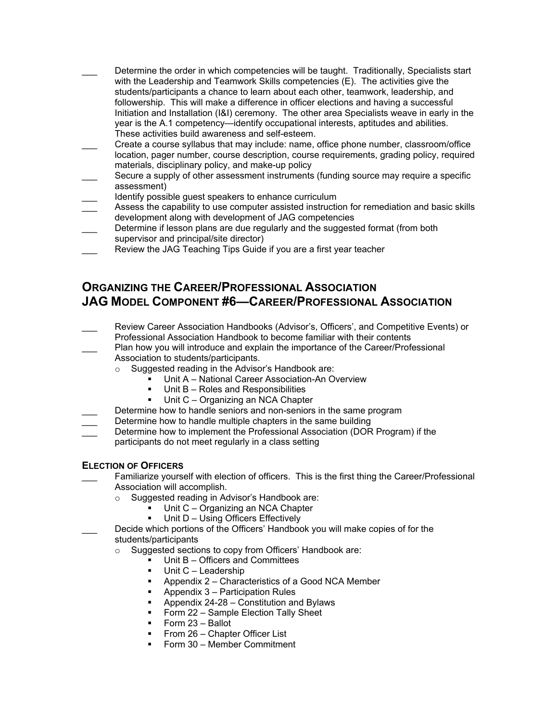- Determine the order in which competencies will be taught. Traditionally, Specialists start with the Leadership and Teamwork Skills competencies (E). The activities give the students/participants a chance to learn about each other, teamwork, leadership, and followership. This will make a difference in officer elections and having a successful Initiation and Installation (I&I) ceremony. The other area Specialists weave in early in the year is the A.1 competency—identify occupational interests, aptitudes and abilities. These activities build awareness and self-esteem.
- \_\_\_ Create a course syllabus that may include: name, office phone number, classroom/office location, pager number, course description, course requirements, grading policy, required materials, disciplinary policy, and make-up policy
- Secure a supply of other assessment instruments (funding source may require a specific assessment)
- Identify possible quest speakers to enhance curriculum
- Assess the capability to use computer assisted instruction for remediation and basic skills development along with development of JAG competencies
- Determine if lesson plans are due regularly and the suggested format (from both supervisor and principal/site director)
- Review the JAG Teaching Tips Guide if you are a first year teacher

# **ORGANIZING THE CAREER/PROFESSIONAL ASSOCIATION JAG MODEL COMPONENT #6—CAREER/PROFESSIONAL ASSOCIATION**

- \_\_\_ Review Career Association Handbooks (Advisor's, Officers', and Competitive Events) or
	- Professional Association Handbook to become familiar with their contents
- Plan how you will introduce and explain the importance of the Career/Professional Association to students/participants.
	- o Suggested reading in the Advisor's Handbook are:
		- Unit A National Career Association-An Overview
		- Unit B Roles and Responsibilities
		- **Unit C** Organizing an NCA Chapter
- Determine how to handle seniors and non-seniors in the same program
- Determine how to handle multiple chapters in the same building
- Determine how to implement the Professional Association (DOR Program) if the
- participants do not meet regularly in a class setting

## **ELECTION OF OFFICERS**

- Familiarize yourself with election of officers. This is the first thing the Career/Professional Association will accomplish.
	- o Suggested reading in Advisor's Handbook are:
		- Unit C Organizing an NCA Chapter
		- Unit D Using Officers Effectively
- Decide which portions of the Officers' Handbook you will make copies of for the students/participants
	- o Suggested sections to copy from Officers' Handbook are:
		- $\nu$  Unit B Officers and Committees
		- Unit C Leadership
		- Appendix 2 Characteristics of a Good NCA Member
		- Appendix 3 Participation Rules
		- **Appendix 24-28 Constitution and Bylaws**
		- **Form 22 Sample Election Tally Sheet**
		- $\blacksquare$  Form 23 Ballot
		- From 26 Chapter Officer List
		- Form 30 Member Commitment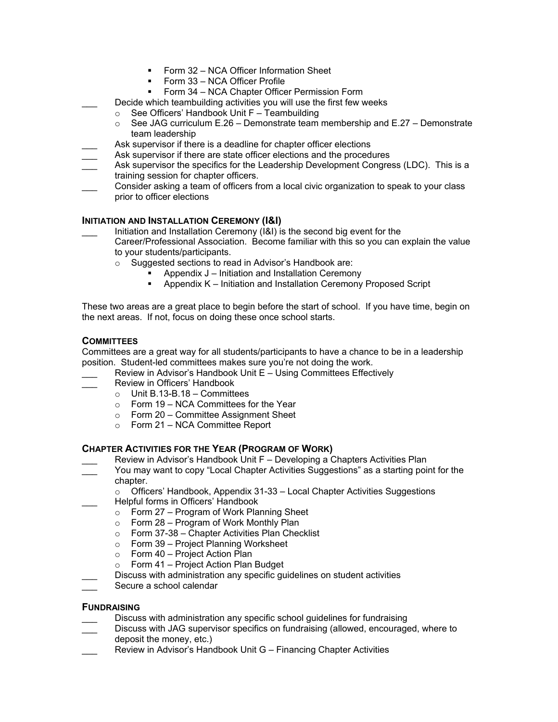- Form 32 NCA Officer Information Sheet
- Form 33 NCA Officer Profile
- Form 34 NCA Chapter Officer Permission Form
- Decide which teambuilding activities you will use the first few weeks
- $\circ$  See Officers' Handbook Unit F Teambuilding<br>  $\circ$  See JAG curriculum E.26 Demonstrate team
	- See JAG curriculum E.26 Demonstrate team membership and E.27 Demonstrate team leadership
- Ask supervisor if there is a deadline for chapter officer elections
- Ask supervisor if there are state officer elections and the procedures
- Ask supervisor the specifics for the Leadership Development Congress (LDC). This is a training session for chapter officers.
- \_\_\_ Consider asking a team of officers from a local civic organization to speak to your class prior to officer elections

## **INITIATION AND INSTALLATION CEREMONY (I&I)**

- Initiation and Installation Ceremony (I&I) is the second big event for the Career/Professional Association. Become familiar with this so you can explain the value to your students/participants.
	- o Suggested sections to read in Advisor's Handbook are:
		- Appendix J Initiation and Installation Ceremony
		- Appendix K Initiation and Installation Ceremony Proposed Script

These two areas are a great place to begin before the start of school. If you have time, begin on the next areas. If not, focus on doing these once school starts.

### **COMMITTEES**

Committees are a great way for all students/participants to have a chance to be in a leadership position. Student-led committees makes sure you're not doing the work.

- Review in Advisor's Handbook Unit E Using Committees Effectively
- Review in Officers' Handbook
	- $\circ$  Unit B.13-B.18 Committees
	- o Form 19 NCA Committees for the Year
	- o Form 20 Committee Assignment Sheet
	- $\circ$  Form 21 NCA Committee Report

### **CHAPTER ACTIVITIES FOR THE YEAR (PROGRAM OF WORK)**

- Review in Advisor's Handbook Unit F Developing a Chapters Activities Plan
- You may want to copy "Local Chapter Activities Suggestions" as a starting point for the chapter.
	- $\circ$  Officers' Handbook, Appendix 31-33 Local Chapter Activities Suggestions \_\_\_ Helpful forms in Officers' Handbook
		- $\circ$  Form 27 Program of Work Planning Sheet
		- $\circ$  Form 28 Program of Work Monthly Plan<br> $\circ$  Form 37-38 Chapter Activities Plan Chec
		- Form 37-38 Chapter Activities Plan Checklist
		- o Form 39 Project Planning Worksheet
		- o Form 40 Project Action Plan
	- o Form 41 Project Action Plan Budget
	- Discuss with administration any specific guidelines on student activities
- Secure a school calendar

### **FUNDRAISING**

- Discuss with administration any specific school quidelines for fundraising
- Discuss with JAG supervisor specifics on fundraising (allowed, encouraged, where to deposit the money, etc.)
- Review in Advisor's Handbook Unit G Financing Chapter Activities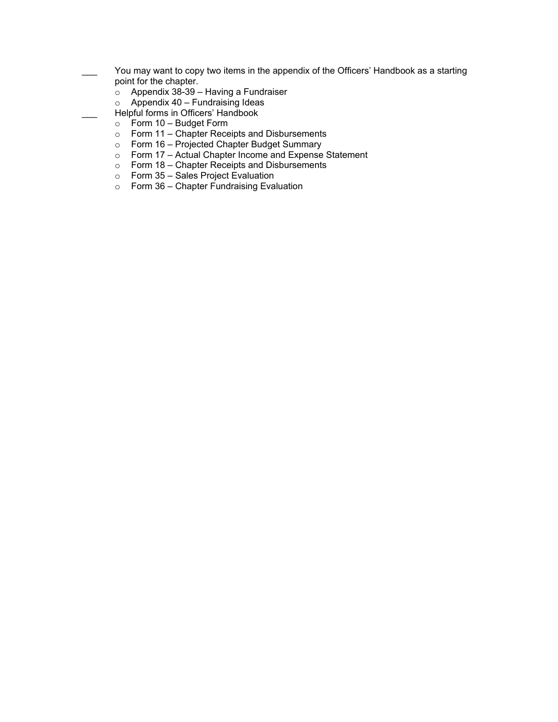- You may want to copy two items in the appendix of the Officers' Handbook as a starting point for the chapter.
	- $\circ$  Appendix 38-39 Having a Fundraiser
	- $\circ$  Appendix 40 Fundraising Ideas
	- Helpful forms in Officers' Handbook
	- o Form 10 Budget Form
	- o Form 11 Chapter Receipts and Disbursements
	- o Form 16 Projected Chapter Budget Summary
	- o Form 17 Actual Chapter Income and Expense Statement
	- o Form 18 Chapter Receipts and Disbursements
	- $\circ$  Form 35 Sales Project Evaluation
	- $\circ$  Form 36 Chapter Fundraising Evaluation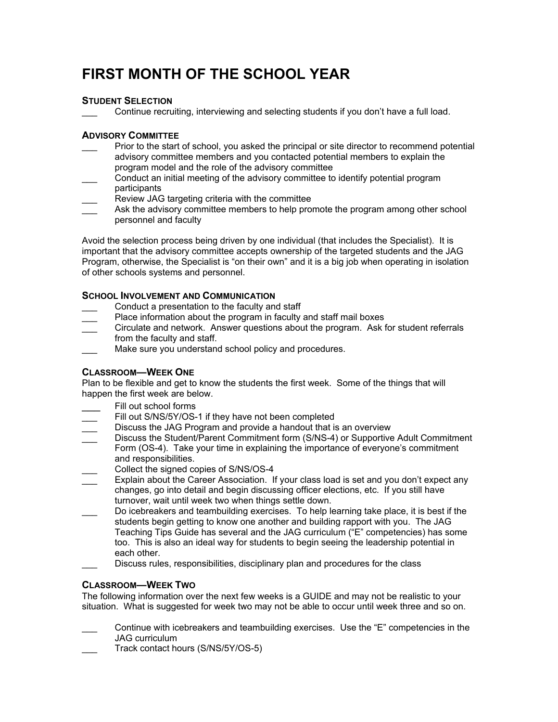# **FIRST MONTH OF THE SCHOOL YEAR**

# **STUDENT SELECTION**

Continue recruiting, interviewing and selecting students if you don't have a full load.

## **ADVISORY COMMITTEE**

- Prior to the start of school, you asked the principal or site director to recommend potential advisory committee members and you contacted potential members to explain the program model and the role of the advisory committee
- \_\_\_ Conduct an initial meeting of the advisory committee to identify potential program participants
- Review JAG targeting criteria with the committee
- Ask the advisory committee members to help promote the program among other school personnel and faculty

Avoid the selection process being driven by one individual (that includes the Specialist). It is important that the advisory committee accepts ownership of the targeted students and the JAG Program, otherwise, the Specialist is "on their own" and it is a big job when operating in isolation of other schools systems and personnel.

## **SCHOOL INVOLVEMENT AND COMMUNICATION**

- Conduct a presentation to the faculty and staff
- Place information about the program in faculty and staff mail boxes
- \_\_\_ Circulate and network. Answer questions about the program. Ask for student referrals from the faculty and staff.
- Make sure you understand school policy and procedures.

# **CLASSROOM—WEEK ONE**

Plan to be flexible and get to know the students the first week. Some of the things that will happen the first week are below.

- Fill out school forms
- Fill out S/NS/5Y/OS-1 if they have not been completed
- Discuss the JAG Program and provide a handout that is an overview
- Discuss the Student/Parent Commitment form (S/NS-4) or Supportive Adult Commitment Form (OS-4). Take your time in explaining the importance of everyone's commitment and responsibilities.
- Collect the signed copies of S/NS/OS-4
- Explain about the Career Association. If your class load is set and you don't expect any changes, go into detail and begin discussing officer elections, etc. If you still have turnover, wait until week two when things settle down.
- Do icebreakers and teambuilding exercises. To help learning take place, it is best if the students begin getting to know one another and building rapport with you. The JAG Teaching Tips Guide has several and the JAG curriculum ("E" competencies) has some too. This is also an ideal way for students to begin seeing the leadership potential in each other.
- Discuss rules, responsibilities, disciplinary plan and procedures for the class

### **CLASSROOM—WEEK TWO**

The following information over the next few weeks is a GUIDE and may not be realistic to your situation. What is suggested for week two may not be able to occur until week three and so on.

- Continue with icebreakers and teambuilding exercises. Use the "E" competencies in the JAG curriculum
- Track contact hours (S/NS/5Y/OS-5)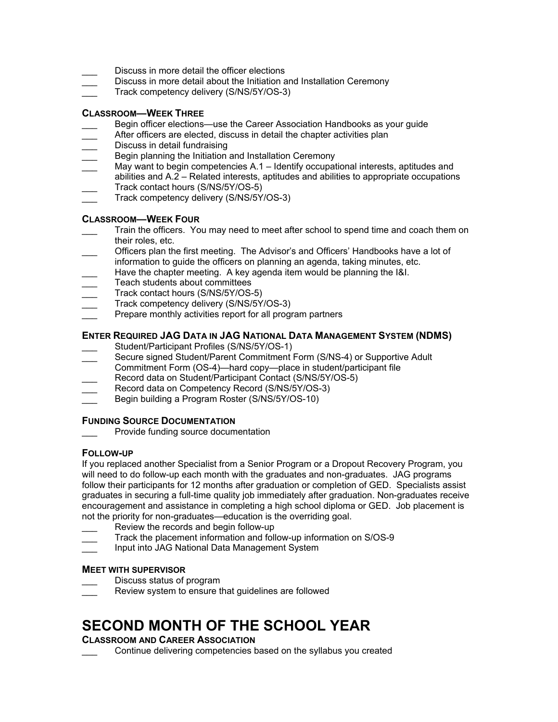- Discuss in more detail the officer elections
- Discuss in more detail about the Initiation and Installation Ceremony
- Track competency delivery (S/NS/5Y/OS-3)

### **CLASSROOM—WEEK THREE**

- Begin officer elections—use the Career Association Handbooks as your guide
- After officers are elected, discuss in detail the chapter activities plan
- Discuss in detail fundraising
- Begin planning the Initiation and Installation Ceremony
- May want to begin competencies A.1 Identify occupational interests, aptitudes and abilities and A.2 – Related interests, aptitudes and abilities to appropriate occupations Track contact hours (S/NS/5Y/OS-5)
- Track competency delivery (S/NS/5Y/OS-3)

### **CLASSROOM—WEEK FOUR**

- Train the officers. You may need to meet after school to spend time and coach them on their roles, etc.
- Officers plan the first meeting. The Advisor's and Officers' Handbooks have a lot of information to guide the officers on planning an agenda, taking minutes, etc.
- Have the chapter meeting. A key agenda item would be planning the I&I.
- Teach students about committees
- Track contact hours (S/NS/5Y/OS-5)
- Track competency delivery (S/NS/5Y/OS-3)
- Prepare monthly activities report for all program partners

## **ENTER REQUIRED JAG DATA IN JAG NATIONAL DATA MANAGEMENT SYSTEM (NDMS)**

- Student/Participant Profiles (S/NS/5Y/OS-1)
- Secure signed Student/Parent Commitment Form (S/NS-4) or Supportive Adult
- Commitment Form (OS-4)—hard copy—place in student/participant file Record data on Student/Participant Contact (S/NS/5Y/OS-5)
- Record data on Competency Record (S/NS/5Y/OS-3)
- Begin building a Program Roster (S/NS/5Y/OS-10)
- 

### **FUNDING SOURCE DOCUMENTATION**

Provide funding source documentation

### **FOLLOW-UP**

If you replaced another Specialist from a Senior Program or a Dropout Recovery Program, you will need to do follow-up each month with the graduates and non-graduates. JAG programs follow their participants for 12 months after graduation or completion of GED. Specialists assist graduates in securing a full-time quality job immediately after graduation. Non-graduates receive encouragement and assistance in completing a high school diploma or GED. Job placement is not the priority for non-graduates—education is the overriding goal.

- Review the records and begin follow-up
- Track the placement information and follow-up information on S/OS-9
- Input into JAG National Data Management System

### **MEET WITH SUPERVISOR**

- Discuss status of program
- Review system to ensure that guidelines are followed

# **SECOND MONTH OF THE SCHOOL YEAR**

### **CLASSROOM AND CAREER ASSOCIATION**

Continue delivering competencies based on the syllabus you created